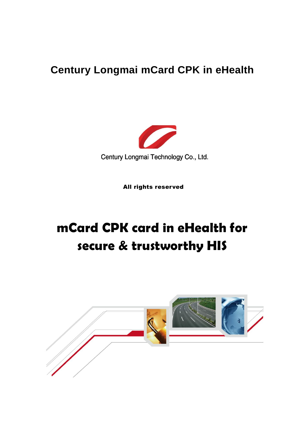# **Century Longmai mCard CPK in eHealth**



All rights reserved

# **mCard CPK card in eHealth for secure & trustworthy HIS**

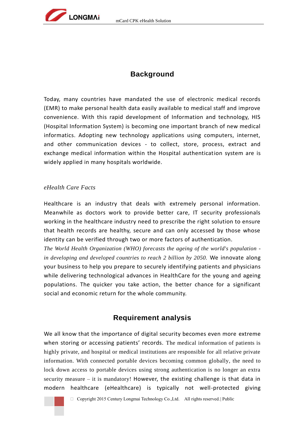

# **Background**

Today, many countries have mandated the use of electronic medical records (EMR) to make personal health data easily available to medical staff and improve convenience. With this rapid development of Information and technology, HIS (Hospital Information System) is becoming one important branch of new medical informatics. Adopting new technology applications using computers, internet, and other communication devices - to collect, store, process, extract and exchange medical information within the Hospital authentication system are is widely applied in many hospitals worldwide.

#### *eHealth Care Facts*

Healthcare is an industry that deals with extremely personal information. Meanwhile as doctors work to provide better care, IT security professionals working in the healthcare industry need to prescribe the right solution to ensure that health records are healthy, secure and can only accessed by those whose identity can be verified through two or more factors of authentication.

*The World Health Organization (WHO) forecasts the ageing of the world's population in developing and developed countries to reach 2 billion by 2050.* We innovate along your business to help you prepare to securely identifying patients and physicians while delivering technological advances in HealthCare for the young and ageing populations. The quicker you take action, the better chance for a significant social and economic return for the whole community.

# **Requirement analysis**

We all know that the importance of digital security becomes even more extreme when storing or accessing patients' records. The medical information of patients is highly private, and hospital or medical institutions are responsible for all relative private information. With connected portable devices becoming common globally, the need to lock down access to portable devices using strong authentication is no longer an extra security measure – it is mandatory! However, the existing challenge is that data in modern healthcare (eHealthcare) is typically not well-protected giving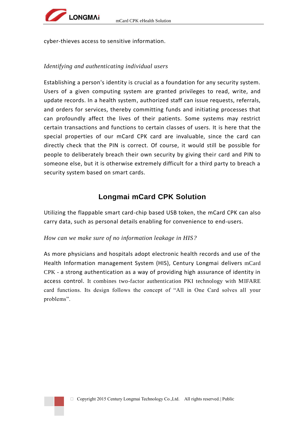

cyber-thieves access to sensitive information.

## *Identifying and authenticating individual users*

Establishing a person's identity is crucial as a foundation for any security system. Users of a given computing system are granted privileges to read, write, and update records. In a health system, authorized staff can issue requests, referrals, and orders for services, thereby committing funds and initiating processes that can profoundly affect the lives of their patients. Some systems may restrict certain transactions and functions to certain classes of users. It is here that the special properties of our mCard CPK card are invaluable, since the card can directly check that the PIN is correct. Of course, it would still be possible for people to deliberately breach their own security by giving their card and PIN to someone else, but it is otherwise extremely difficult for a third party to breach a security system based on smart cards.

# **Longmai mCard CPK Solution**

Utilizing the flappable smart card-chip based USB token, the mCard CPK can also carry data, such as personal details enabling for convenience to end-users.

### *How can we make sure of no information leakage in HIS?*

As more physicians and hospitals adopt electronic health records and use of the Health Information management System (HIS), Century Longmai delivers mCard CPK - a strong authentication as a way of providing high assurance of identity in access control. It combines two-factor authentication PKI technology with MIFARE card functions. Its design follows the concept of "All in One Card solves all your problems".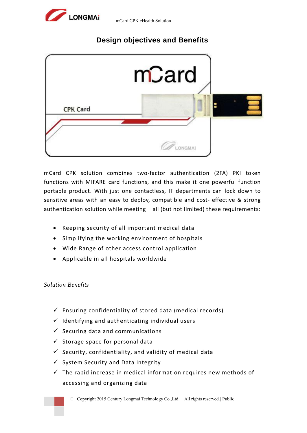

# **Design objectives and Benefits**



mCard CPK solution combines two-factor authentication (2FA) PKI token functions with MIFARE card functions, and this make it one powerful function portable product. With just one contactless, IT departments can lock down to sensitive areas with an easy to deploy, compatible and cost- effective & strong authentication solution while meeting all (but not limited) these requirements:

- Keeping security of all important medical data
- Simplifying the working environment of hospitals
- Wide Range of other access control application
- Applicable in all hospitals worldwide

### *Solution Benefits*

- $\checkmark$  Ensuring confidentiality of stored data (medical records)
- $\checkmark$  Identifying and authenticating individual users
- $\checkmark$  Securing data and communications
- $\checkmark$  Storage space for personal data
- $\checkmark$  Security, confidentiality, and validity of medical data
- $\checkmark$  System Security and Data Integrity
- $\checkmark$  The rapid increase in medical information requires new methods of accessing and organizing data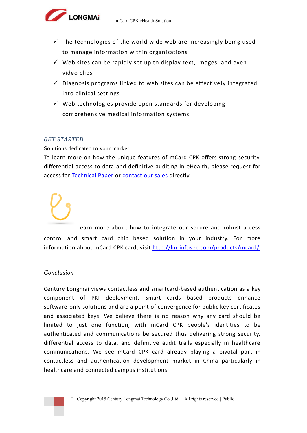- $\checkmark$  The technologies of the world wide web are increasingly being used to manage information within organizations
- $\checkmark$  Web sites can be rapidly set up to display text, images, and even video clips
- $\checkmark$  Diagnosis programs linked to web sites can be effectively integrated into clinical settings
- $\checkmark$  Web technologies provide open standards for developing comprehensive medical information systems

### *GET STARTED*

Solutions dedicated to your market…

**LONGMAi** 

To learn more on how the unique features of mCard CPK offers strong security, differential access to data and definitive auditing in eHealth, please request for access for [Technical Paper](http://lm-infosec.com/contact/) or [contact our sales](http://lm-infosec.com/contact/) directly.

Learn more about how to integrate our secure and robust access control and smart card chip based solution in your industry. For more information about mCard CPK card, visit<http://lm-infosec.com/products/mcard/>

### *Conclusion*

Century Longmai views contactless and smartcard-based authentication as a key component of PKI deployment. Smart cards based products enhance software-only solutions and are a point of convergence for public key certificates and associated keys. We believe there is no reason why any card should be limited to just one function, with mCard CPK people's identities to be authenticated and communications be secured thus delivering strong security, differential access to data, and definitive audit trails especially in healthcare communications. We see mCard CPK card already playing a pivotal part in contactless and authentication development market in China particularly in healthcare and connected campus institutions.